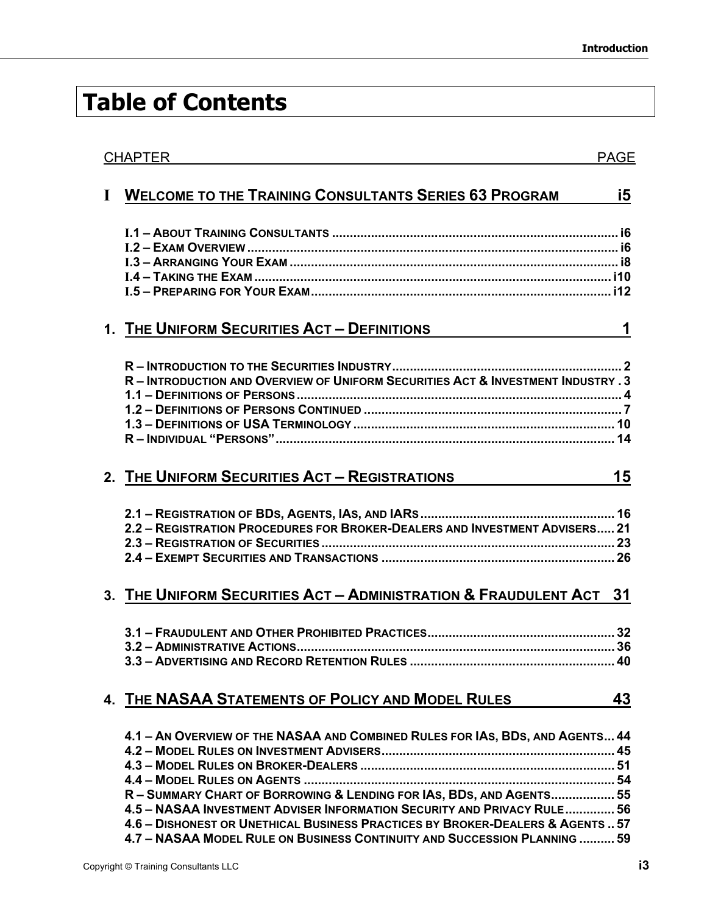## **Table of Contents**

| <b>CHAPTER</b> |                                                                                                                                                                                                                                                                                                                                                                                                 | <b>PAGE</b> |
|----------------|-------------------------------------------------------------------------------------------------------------------------------------------------------------------------------------------------------------------------------------------------------------------------------------------------------------------------------------------------------------------------------------------------|-------------|
| $\mathbf I$    | <b>WELCOME TO THE TRAINING CONSULTANTS SERIES 63 PROGRAM</b>                                                                                                                                                                                                                                                                                                                                    | i5          |
|                |                                                                                                                                                                                                                                                                                                                                                                                                 |             |
|                | 1. THE UNIFORM SECURITIES ACT - DEFINITIONS                                                                                                                                                                                                                                                                                                                                                     | 1           |
|                | R - INTRODUCTION AND OVERVIEW OF UNIFORM SECURITIES ACT & INVESTMENT INDUSTRY . 3<br>R - INDIVIDUAL "PERSONS" …………………………………………………………………………………… 14                                                                                                                                                                                                                                               |             |
|                | 2. THE UNIFORM SECURITIES ACT - REGISTRATIONS                                                                                                                                                                                                                                                                                                                                                   | 15          |
|                | 2.2 - REGISTRATION PROCEDURES FOR BROKER-DEALERS AND INVESTMENT ADVISERS 21                                                                                                                                                                                                                                                                                                                     |             |
|                | 3. THE UNIFORM SECURITIES ACT - ADMINISTRATION & FRAUDULENT ACT 31                                                                                                                                                                                                                                                                                                                              |             |
|                |                                                                                                                                                                                                                                                                                                                                                                                                 |             |
|                | 4. THE NASAA STATEMENTS OF POLICY AND MODEL RULES                                                                                                                                                                                                                                                                                                                                               | 43          |
|                | 4.1 - AN OVERVIEW OF THE NASAA AND COMBINED RULES FOR IAS, BDS, AND AGENTS 44<br>R - SUMMARY CHART OF BORROWING & LENDING FOR IAS, BDS, AND AGENTS 55<br>4.5 - NASAA INVESTMENT ADVISER INFORMATION SECURITY AND PRIVACY RULE 56<br>4.6 - DISHONEST OR UNETHICAL BUSINESS PRACTICES BY BROKER-DEALERS & AGENTS  57<br>4.7 - NASAA MODEL RULE ON BUSINESS CONTINUITY AND SUCCESSION PLANNING  59 |             |